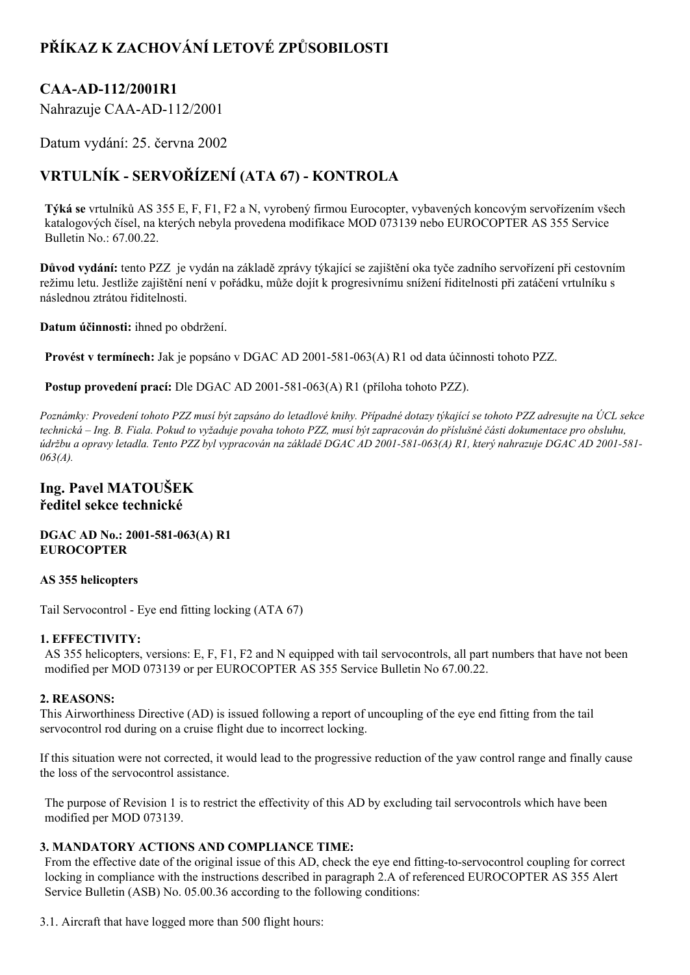# **PŘÍKAZ K ZACHOVÁNÍ LETOVÉ ZPŮSOBILOSTI**

## **CAAAD112/2001R1**

Nahrazuje CAA-AD-112/2001

Datum vydání: 25. června 2002

# **VRTULNÍK SERVOŘÍZENÍ (ATA 67) KONTROLA**

**Týká se** vrtulníků AS 355 E, F, F1, F2 a N, vyrobený firmou Eurocopter, vybavených koncovým servořízením všech katalogových čísel, na kterých nebyla provedena modifikace MOD 073139 nebo EUROCOPTER AS 355 Service Bulletin No.: 67.00.22.

**Důvod vydání:** tento PZZ je vydán na základě zprávy týkající se zajištění oka tyče zadního servořízení při cestovním režimu letu. Jestliže zajištění není v pořádku, může dojít k progresivnímu snížení řiditelnosti při zatáčení vrtulníku s následnou ztrátou řiditelnosti.

**Datum účinnosti:** ihned po obdržení.

**Provést v termínech:** Jak je popsáno v DGAC AD 2001-581-063(A) R1 od data účinnosti tohoto PZZ.

**Postup provedení prací:** Dle DGAC AD 2001-581-063(A) R1 (příloha tohoto PZZ).

Poznámky: Provedení tohoto PZZ musí být zapsáno do letadlové knihy. Případné dotazy týkající se tohoto PZZ adresujte na ÚCL sekce technická – Ing. B. Fiala. Pokud to vyžaduje povaha tohoto PZZ, musí být zapracován do příslušné části dokumentace pro obsluhu, údržbu a opravy letadla. Tento PZZ byl vypracován na základě DGAC AD 2001-581-063(A) R1, který nahrazuje DGAC AD 2001-581-*063(A).*

### **Ing. Pavel MATOUŠEK ředitel sekce technické**

#### **DGAC AD No.: 2001581063(A) R1 EUROCOPTER**

#### **AS 355 helicopters**

Tail Servocontrol - Eye end fitting locking (ATA 67)

### **1. EFFECTIVITY:**

AS 355 helicopters, versions: E, F, F1, F2 and N equipped with tail servocontrols, all part numbers that have not been modified per MOD 073139 or per EUROCOPTER AS 355 Service Bulletin No 67.00.22.

#### **2. REASONS:**

This Airworthiness Directive (AD) is issued following a report of uncoupling of the eye end fitting from the tail servocontrol rod during on a cruise flight due to incorrect locking.

If this situation were not corrected, it would lead to the progressive reduction of the yaw control range and finally cause the loss of the servocontrol assistance.

The purpose of Revision 1 is to restrict the effectivity of this AD by excluding tail servocontrols which have been modified per MOD 073139.

### **3. MANDATORY ACTIONS AND COMPLIANCE TIME:**

From the effective date of the original issue of this AD, check the eye end fitting-to-servocontrol coupling for correct locking in compliance with the instructions described in paragraph 2.A of referenced EUROCOPTER AS 355 Alert Service Bulletin (ASB) No. 05.00.36 according to the following conditions:

3.1. Aircraft that have logged more than 500 flight hours: